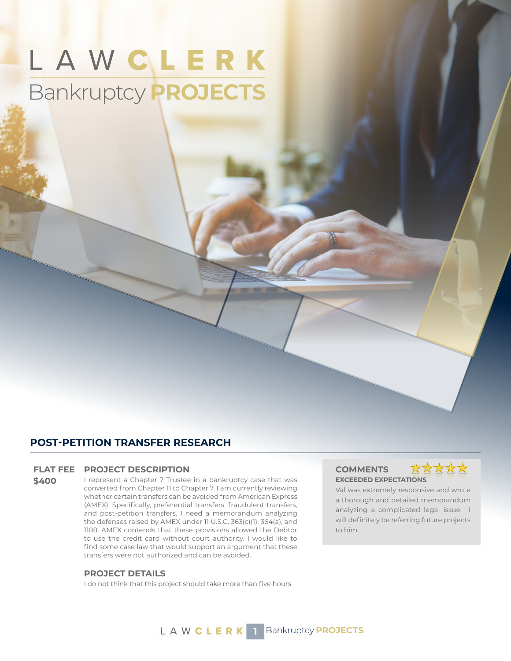# LAWCLERK Bankruptcy **PROJECTS**

### **POST-PETITION TRANSFER RESEARCH**

#### **FLAT FEE PROJECT DESCRIPTION COMMENTS**

**\$400** I represent a Chapter 7 Trustee in a bankruptcy case that was converted from Chapter 11 to Chapter 7. I am currently reviewing whether certain transfers can be avoided from American Express (AMEX). Specifically, preferential transfers, fraudulent transfers, and post-petition transfers. I need a memorandum analyzing the defenses raised by AMEX under 11 U.S.C. 363(c)(1), 364(a), and 1108. AMEX contends that these provisions allowed the Debtor to use the credit card without court authority. I would like to find some case law that would support an argument that these transfers were not authorized and can be avoided.

#### **PROJECT DETAILS**

I do not think that this project should take more than five hours.

## **EXCEEDED EXPECTATIONS**



Val was extremely responsive and wrote a thorough and detailed memorandum analyzing a complicated legal issue. I will definitely be referring future projects to him.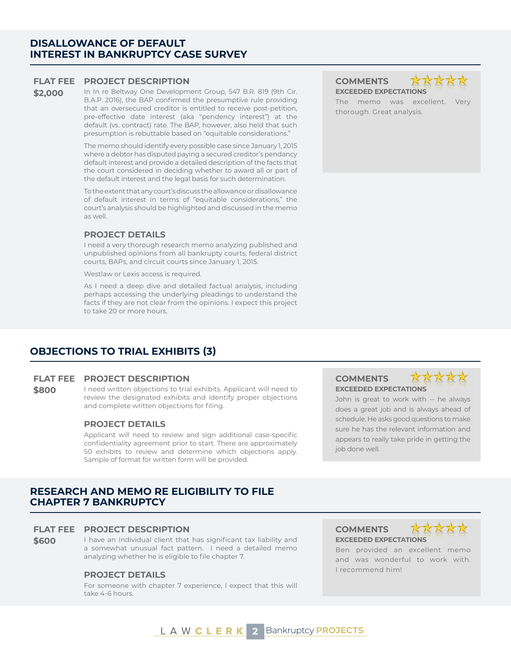#### **DISALLOWANCE OF DEFAULT INTEREST IN BANKRUPTCY CASE SURVEY**

#### **FLAT FEE PROJECT DESCRIPTION COMMENTS**

**\$2,000** In In re Beltway One Development Group, 547 B.R. 819 (9th Cir. B.A.P. 2016), the BAP confirmed the presumptive rule providing that an oversecured creditor is entitled to receive post-petition, pre-effective date interest (aka "pendency interest") at the default (vs. contract) rate. The BAP, however, also held that such presumption is rebuttable based on "equitable considerations."

> The memo should identify every possible case since January 1, 2015 where a debtor has disputed paying a secured creditor's pendancy default interest and provide a detailed description of the facts that the court considered in deciding whether to award all or part of the default interest and the legal basis for such determination.

> To the extent that any court's discuss the allowance or disallowance of default interest in terms of "equitable considerations," the court's analysis should be highlighted and discussed in the memo as well.

#### **PROJECT DETAILS**

I need a very thorough research memo analyzing published and unpublished opinions from all bankrupty courts, federal district courts, BAPs, and circuit courts since January 1, 2015.

Westlaw or Lexis access is required.

As I need a deep dive and detailed factual analysis, including perhaps accessing the underlying pleadings to understand the facts if they are not clear from the opinions. I expect this project to take 20 or more hours.

**EXCEEDED EXPECTATIONS** The memo was excellent. Very thorough. Great analysis.

\*\*\*\*\*

### **OBJECTIONS TO TRIAL EXHIBITS (3)**

#### **FLAT FEE PROJECT DESCRIPTION COMMENTS**

**\$800** I need written objections to trial exhibits. Applicant will need to review the designated exhibits and identify proper objections and complete written objections for filing.

#### **PROJECT DETAILS**

Applicant will need to review and sign additional case-specific confidentiality agreement prior to start. There are approximately 50 exhibits to review and determine which objections apply. Sample of format for written form will be provided.

#### **RESEARCH AND MEMO RE ELIGIBILITY TO FILE CHAPTER 7 BANKRUPTCY**

#### **FLAT FEE PROJECT DESCRIPTION COMMENTS**

**\$600** I have an individual client that has significant tax liability and a somewhat unusual fact pattern. I need a detailed memo analyzing whether he is eligible to file chapter 7.

### I recommend him! **PROJECT DETAILS**

For someone with chapter 7 experience, I expect that this will take 4-6 hours.

## **EXCEEDED EXPECTATIONS**



John is great to work with -- he always does a great job and is always ahead of schedule. He asks good questions to make sure he has the relevant information and appears to really take pride in getting the job done well.

**EXCEEDED EXPECTATIONS**



Ben provided an excellent memo and was wonderful to work with.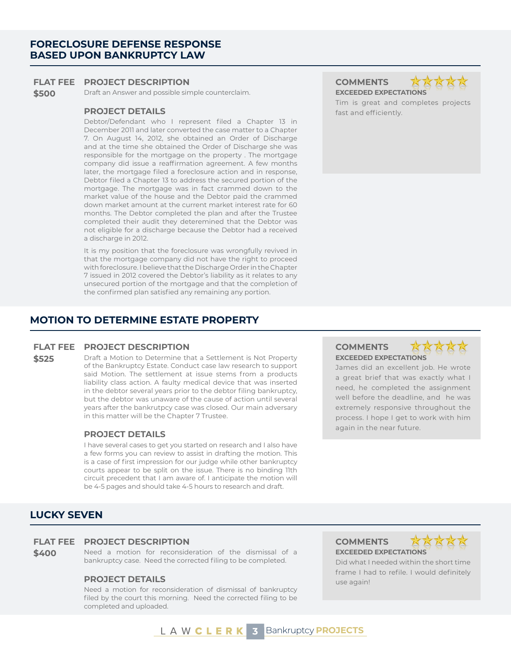#### **FORECLOSURE DEFENSE RESPONSE BASED UPON BANKRUPTCY LAW**

#### **FLAT FEE PROJECT DESCRIPTION COMMENTS**

**\$500** Draft an Answer and possible simple counterclaim. **EXCEEDED EXPECTATIONS** 

#### **PROJECT DETAILS** *CONSTRUCT DETAILS CONSTRUCT DETAILS*

Debtor/Defendant who I represent filed a Chapter 13 in December 2011 and later converted the case matter to a Chapter 7. On August 14, 2012, she obtained an Order of Discharge and at the time she obtained the Order of Discharge she was responsible for the mortgage on the property . The mortgage company did issue a reaffirmation agreement. A few months later, the mortgage filed a foreclosure action and in response, Debtor filed a Chapter 13 to address the secured portion of the mortgage. The mortgage was in fact crammed down to the market value of the house and the Debtor paid the crammed down market amount at the current market interest rate for 60 months. The Debtor completed the plan and after the Trustee completed their audit they deteremined that the Debtor was not eligible for a discharge because the Debtor had a received a discharge in 2012.

It is my position that the foreclosure was wrongfully revived in that the mortgage company did not have the right to proceed with foreclosure. I believe that the Discharge Order in the Chapter 7 issued in 2012 covered the Debtor's liability as it relates to any unsecured portion of the mortgage and that the completion of the confirmed plan satisfied any remaining any portion.

#### **MOTION TO DETERMINE ESTATE PROPERTY**

#### **FLAT FEE PROJECT DESCRIPTION COMMENTS**

**\$525** Draft a Motion to Determine that a Settlement is Not Property of the Bankruptcy Estate. Conduct case law research to support said Motion. The settlement at issue stems from a products liability class action. A faulty medical device that was inserted in the debtor several years prior to the debtor filing bankruptcy, but the debtor was unaware of the cause of action until several years after the bankrutpcy case was closed. Our main adversary in this matter will be the Chapter 7 Trustee.

#### **PROJECT DETAILS**

I have several cases to get you started on research and I also have a few forms you can review to assist in drafting the motion. This is a case of first impression for our judge while other bankruptcy courts appear to be split on the issue. There is no binding 11th circuit precedent that I am aware of. I anticipate the motion will be 4-5 pages and should take 4-5 hours to research and draft.



James did an excellent job. He wrote a great brief that was exactly what I need, he completed the assignment well before the deadline, and he was extremely responsive throughout the process. I hope I get to work with him again in the near future.

#### **LUCKY SEVEN**

#### **FLAT FEE PROJECT DESCRIPTION COMMENTS**

**\$400** Need a motion for reconsideration of the dismissal of a bankruptcy case. Need the corrected filing to be completed.

#### **PROJECT DETAILS** use again!

Need a motion for reconsideration of dismissal of bankruptcy filed by the court this morning. Need the corrected filing to be completed and uploaded.

**EXCEEDED EXPECTATIONS**



Did what I needed within the short time frame I had to refile. I would definitely

Tim is great and completes projects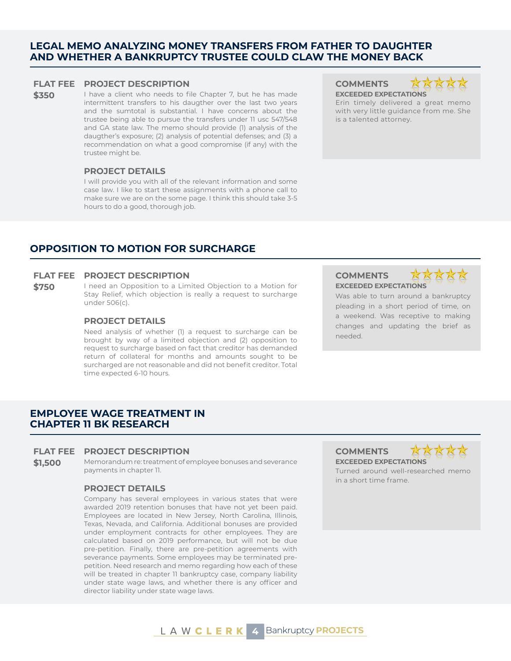#### **LEGAL MEMO ANALYZING MONEY TRANSFERS FROM FATHER TO DAUGHTER AND WHETHER A BANKRUPTCY TRUSTEE COULD CLAW THE MONEY BACK**

#### **FLAT FEE PROJECT DESCRIPTION COMMENTS**

**\$350** I have a client who needs to file Chapter 7, but he has made intermittent transfers to his daugther over the last two years and the sumtotal is substantial. I have concerns about the trustee being able to pursue the transfers under 11 usc 547/548 and GA state law. The memo should provide (1) analysis of the daugther's exposure; (2) analysis of potential defenses; and (3) a recommendation on what a good compromise (if any) with the trustee might be.

#### **PROJECT DETAILS**

I will provide you with all of the relevant information and some case law. I like to start these assignments with a phone call to make sure we are on the some page. I think this should take 3-5 hours to do a good, thorough job.

**EXCEEDED EXPECTATIONS**



Erin timely delivered a great memo with very little guidance from me. She is a talented attorney.

### **OPPOSITION TO MOTION FOR SURCHARGE**

#### **FLAT FEE PROJECT DESCRIPTION COMMENTS**

**\$750** I need an Opposition to a Limited Objection to a Motion for Stay Relief, which objection is really a request to surcharge under 506(c).

#### **PROJECT DETAILS**

Need analysis of whether (1) a request to surcharge can be brought by way of a limited objection and (2) opposition to request to surcharge based on fact that creditor has demanded return of collateral for months and amounts sought to be surcharged are not reasonable and did not benefit creditor. Total time expected 6-10 hours.

**EXCEEDED EXPECTATIONS**



Was able to turn around a bankruptcy pleading in a short period of time, on a weekend. Was receptive to making changes and updating the brief as needed.

### **EMPLOYEE WAGE TREATMENT IN CHAPTER 11 BK RESEARCH**

#### **FLAT FEE PROJECT DESCRIPTION COMMENTS**

**\$1,500** Memorandum re: treatment of employee bonuses and severance payments in chapter 11.

#### **PROJECT DETAILS**

Company has several employees in various states that were awarded 2019 retention bonuses that have not yet been paid. Employees are located in New Jersey, North Carolina, Illinois, Texas, Nevada, and California. Additional bonuses are provided under employment contracts for other employees. They are calculated based on 2019 performance, but will not be due pre-petition. Finally, there are pre-petition agreements with severance payments. Some employees may be terminated prepetition. Need research and memo regarding how each of these will be treated in chapter 11 bankruptcy case, company liability under state wage laws, and whether there is any officer and director liability under state wage laws.

**EXCEEDED EXPECTATIONS**



Turned around well-researched memo in a short time frame.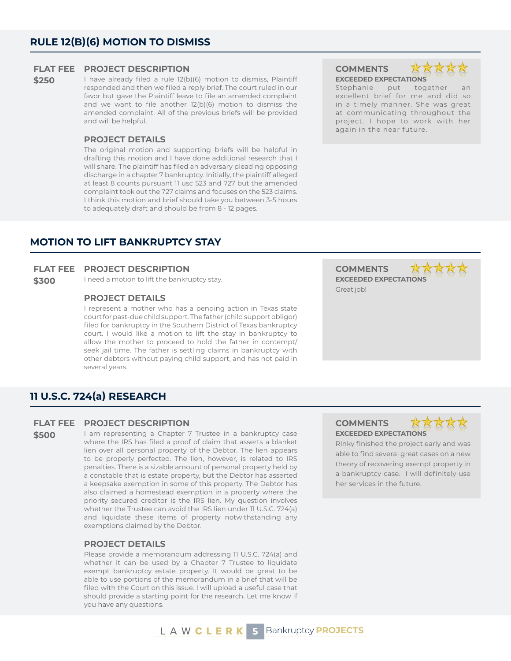**\$250** I have already filed a rule 12(b)(6) motion to dismiss, Plaintiff responded and then we filed a reply brief. The court ruled in our favor but gave the Plaintiff leave to file an amended complaint and we want to file another 12(b)(6) motion to dismiss the amended complaint. All of the previous briefs will be provided and will be helpful.

#### **PROJECT DETAILS**

The original motion and supporting briefs will be helpful in drafting this motion and I have done additional research that I will share. The plaintiff has filed an adversary pleading opposing discharge in a chapter 7 bankruptcy. Initially, the plaintiff alleged at least 8 counts pursuant 11 usc 523 and 727 but the amended complaint took out the 727 claims and focuses on the 523 claims. I think this motion and brief should take you between 3-5 hours to adequately draft and should be from 8 - 12 pages.

**xx EXCEEDED EXPECTATIONS** Stephanie put together

excellent brief for me and did so in a timely manner. She was great at communicating throughout the project. I hope to work with her again in the near future.

### **MOTION TO LIFT BANKRUPTCY STAY**

#### **FLAT FEE PROJECT DESCRIPTION COMMENTS**

**\$300** I need a motion to lift the bankruptcy stay. **EXCEEDED EXPECTATIONS** 

#### **PROJECT DETAILS**

I represent a mother who has a pending action in Texas state court for past-due child support. The father (child support obligor) filed for bankruptcy in the Southern District of Texas bankruptcy court. I would like a motion to lift the stay in bankruptcy to allow the mother to proceed to hold the father in contempt/ seek jail time. The father is settling claims in bankruptcy with other debtors without paying child support, and has not paid in several years.

### **11 U.S.C. 724(a) RESEARCH**

#### **FLAT FEE PROJECT DESCRIPTION COMMENTS**

**\$500** I am representing a Chapter 7 Trustee in a bankruptcy case where the IRS has filed a proof of claim that asserts a blanket lien over all personal property of the Debtor. The lien appears to be properly perfected. The lien, however, is related to IRS penalties. There is a sizable amount of personal property held by a constable that is estate property, but the Debtor has asserted a keepsake exemption in some of this property. The Debtor has also claimed a homestead exemption in a property where the priority secured creditor is the IRS lien. My question involves whether the Trustee can avoid the IRS lien under 11 U.S.C. 724(a) and liquidate these items of property notwithstanding any exemptions claimed by the Debtor.

#### **PROJECT DETAILS**

Please provide a memorandum addressing 11 U.S.C. 724(a) and whether it can be used by a Chapter 7 Trustee to liquidate exempt bankruptcy estate property. It would be great to be able to use portions of the memorandum in a brief that will be filed with the Court on this issue. I will upload a useful case that should provide a starting point for the research. Let me know if you have any questions.

Great job!

**EXCEEDED EXPECTATIONS**



Rinky finished the project early and was able to find several great cases on a new theory of recovering exempt property in a bankruptcy case. I will definitely use her services in the future.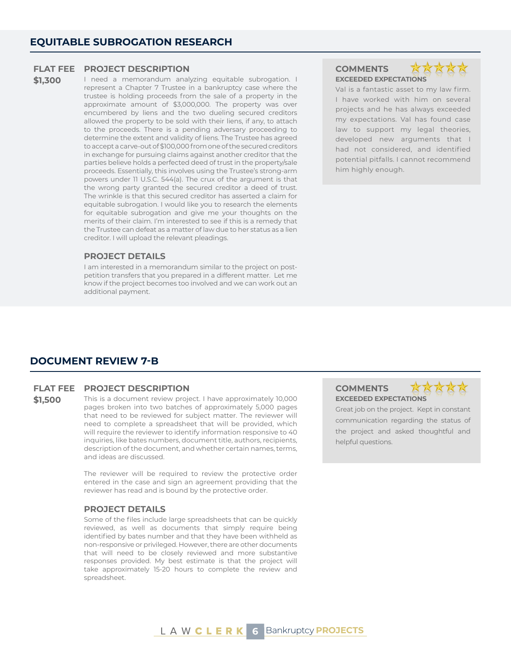**\$1,300** I need a memorandum analyzing equitable subrogation. I represent a Chapter 7 Trustee in a bankruptcy case where the trustee is holding proceeds from the sale of a property in the approximate amount of \$3,000,000. The property was over encumbered by liens and the two dueling secured creditors allowed the property to be sold with their liens, if any, to attach to the proceeds. There is a pending adversary proceeding to determine the extent and validity of liens. The Trustee has agreed to accept a carve-out of \$100,000 from one of the secured creditors in exchange for pursuing claims against another creditor that the parties believe holds a perfected deed of trust in the property/sale proceeds. Essentially, this involves using the Trustee's strong-arm powers under 11 U.S.C. 544(a). The crux of the argument is that the wrong party granted the secured creditor a deed of trust. The wrinkle is that this secured creditor has asserted a claim for equitable subrogation. I would like you to research the elements for equitable subrogation and give me your thoughts on the merits of their claim. I'm interested to see if this is a remedy that the Trustee can defeat as a matter of law due to her status as a lien creditor. I will upload the relevant pleadings.

#### **PROJECT DETAILS**

I am interested in a memorandum similar to the project on postpetition transfers that you prepared in a different matter. Let me know if the project becomes too involved and we can work out an additional payment.

### **EXCEEDED EXPECTATIONS**



Val is a fantastic asset to my law firm. I have worked with him on several projects and he has always exceeded my expectations. Val has found case law to support my legal theories, developed new arguments that I had not considered, and identified potential pitfalls. I cannot recommend him highly enough.

#### **DOCUMENT REVIEW 7-B**

#### **FLAT FEE PROJECT DESCRIPTION COMMENTS**

**\$1,500** This is a document review project. I have approximately 10,000 pages broken into two batches of approximately 5,000 pages that need to be reviewed for subject matter. The reviewer will need to complete a spreadsheet that will be provided, which will require the reviewer to identify information responsive to 40 inquiries, like bates numbers, document title, authors, recipients, description of the document, and whether certain names, terms, and ideas are discussed.

> The reviewer will be required to review the protective order entered in the case and sign an agreement providing that the reviewer has read and is bound by the protective order.

#### **PROJECT DETAILS**

Some of the files include large spreadsheets that can be quickly reviewed, as well as documents that simply require being identified by bates number and that they have been withheld as non-responsive or privileged. However, there are other documents that will need to be closely reviewed and more substantive responses provided. My best estimate is that the project will take approximately 15-20 hours to complete the review and spreadsheet.

**EXCEEDED EXPECTATIONS**



Great job on the project. Kept in constant communication regarding the status of the project and asked thoughtful and helpful questions.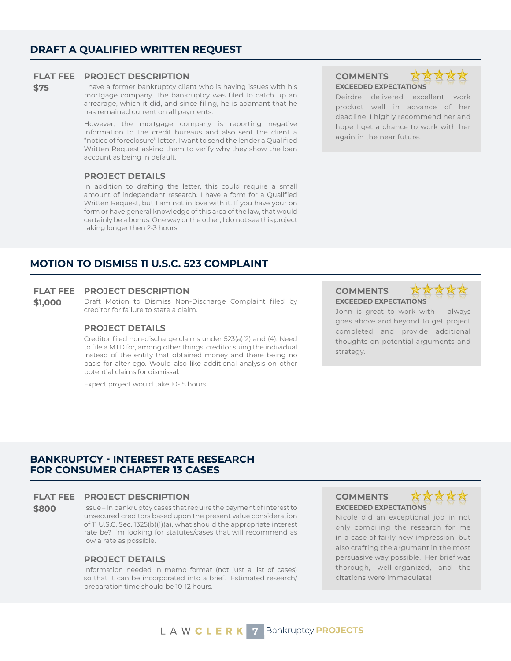**\$75** I have a former bankruptcy client who is having issues with his mortgage company. The bankruptcy was filed to catch up an arrearage, which it did, and since filing, he is adamant that he has remained current on all payments.

> However, the mortgage company is reporting negative information to the credit bureaus and also sent the client a "notice of foreclosure" letter. I want to send the lender a Qualified Written Request asking them to verify why they show the loan account as being in default.

#### **PROJECT DETAILS**

In addition to drafting the letter, this could require a small amount of independent research. I have a form for a Qualified Written Request, but I am not in love with it. If you have your on form or have general knowledge of this area of the law, that would certainly be a bonus. One way or the other, I do not see this project taking longer then 2-3 hours.

### **EXCEEDED EXPECTATIONS**



Deirdre delivered excellent work product well in advance of her deadline. I highly recommend her and hope I get a chance to work with her again in the near future.

### **MOTION TO DISMISS 11 U.S.C. 523 COMPLAINT**

#### **FLAT FEE PROJECT DESCRIPTION COMMENTS**

**\$1,000** Draft Motion to Dismiss Non-Discharge Complaint filed by creditor for failure to state a claim.

#### **PROJECT DETAILS**

Creditor filed non-discharge claims under 523(a)(2) and (4). Need to file a MTD for, among other things, creditor suing the individual instead of the entity that obtained money and there being no basis for alter ego. Would also like additional analysis on other potential claims for dismissal.

Expect project would take 10-15 hours.

**EXCEEDED EXPECTATIONS**



John is great to work with -- always goes above and beyond to get project completed and provide additional thoughts on potential arguments and strategy.

#### **BANKRUPTCY - INTEREST RATE RESEARCH FOR CONSUMER CHAPTER 13 CASES**

#### **FLAT FEE PROJECT DESCRIPTION COMMENTS**

**\$800** Issue – In bankruptcy cases that require the payment of interest to unsecured creditors based upon the present value consideration of 11 U.S.C. Sec. 1325(b)(1)(a), what should the appropriate interest rate be? I'm looking for statutes/cases that will recommend as low a rate as possible.

#### **PROJECT DETAILS**

Information needed in memo format (not just a list of cases) so that it can be incorporated into a brief. Estimated research/ preparation time should be 10-12 hours.

**EXCEEDED EXPECTATIONS**



Nicole did an exceptional job in not only compiling the research for me in a case of fairly new impression, but also crafting the argument in the most persuasive way possible. Her brief was thorough, well-organized, and the citations were immaculate!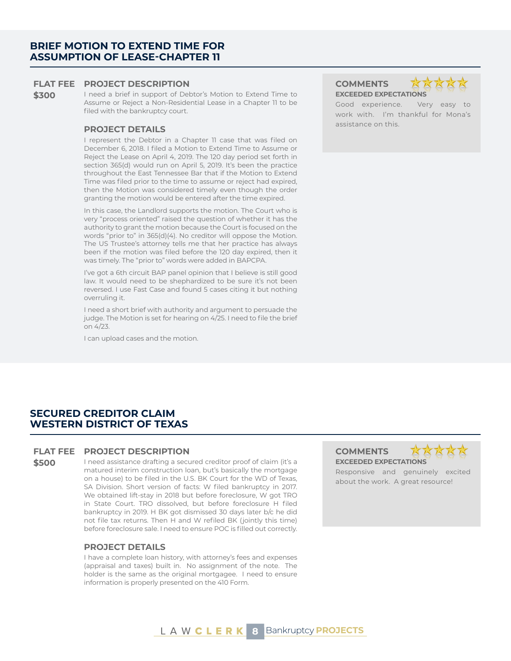**\$300** I need a brief in support of Debtor's Motion to Extend Time to Assume or Reject a Non-Residential Lease in a Chapter 11 to be filed with the bankruptcy court.

### assistance on this. **PROJECT DETAILS**

I represent the Debtor in a Chapter 11 case that was filed on December 6, 2018. I filed a Motion to Extend Time to Assume or Reject the Lease on April 4, 2019. The 120 day period set forth in section 365(d) would run on April 5, 2019. It's been the practice throughout the East Tennessee Bar that if the Motion to Extend Time was filed prior to the time to assume or reject had expired, then the Motion was considered timely even though the order granting the motion would be entered after the time expired.

In this case, the Landlord supports the motion. The Court who is very "process oriented" raised the question of whether it has the authority to grant the motion because the Court is focused on the words "prior to" in 365(d)(4). No creditor will oppose the Motion. The US Trustee's attorney tells me that her practice has always been if the motion was filed before the 120 day expired, then it was timely. The "prior to" words were added in BAPCPA.

I've got a 6th circuit BAP panel opinion that I believe is still good law. It would need to be shephardized to be sure it's not been reversed. I use Fast Case and found 5 cases citing it but nothing overruling it.

I need a short brief with authority and argument to persuade the judge. The Motion is set for hearing on 4/25. I need to file the brief on 4/23.

I can upload cases and the motion.

**EXCEEDED EXPECTATIONS** 

Good experience. Very easy to work with. I'm thankful for Mona's

#### **SECURED CREDITOR CLAIM WESTERN DISTRICT OF TEXAS**

#### **FLAT FEE PROJECT DESCRIPTION COMMENTS**

**\$500** I need assistance drafting a secured creditor proof of claim (it's a matured interim construction loan, but's basically the mortgage on a house) to be filed in the U.S. BK Court for the WD of Texas, SA Division. Short version of facts: W filed bankruptcy in 2017. We obtained lift-stay in 2018 but before foreclosure, W got TRO in State Court. TRO dissolved, but before foreclosure H filed bankruptcy in 2019. H BK got dismissed 30 days later b/c he did not file tax returns. Then H and W refiled BK (jointly this time) before foreclosure sale. I need to ensure POC is filled out correctly.

#### **PROJECT DETAILS**

I have a complete loan history, with attorney's fees and expenses (appraisal and taxes) built in. No assignment of the note. The holder is the same as the original mortgagee. I need to ensure information is properly presented on the 410 Form.

## **EXCEEDED EXPECTATIONS**



Responsive and genuinely excited about the work. A great resource!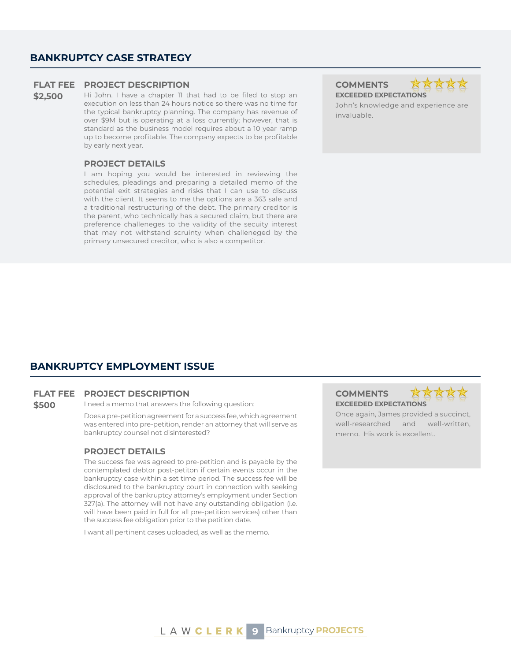#### **BANKRUPTCY CASE STRATEGY**

#### **FLAT FEE PROJECT DESCRIPTION COMMENTS**

\$2,500 Hi John. I have a chapter 11 that had to be filed to stop an execution on less than 24 hours notice so there was no time for the typical bankruptcy planning. The company has revenue of over \$9M but is operating at a loss currently; however, that is standard as the business model requires about a 10 year ramp up to become profitable. The company expects to be profitable by early next year.

#### **PROJECT DETAILS**

I am hoping you would be interested in reviewing the schedules, pleadings and preparing a detailed memo of the potential exit strategies and risks that I can use to discuss with the client. It seems to me the options are a 363 sale and a traditional restructuring of the debt. The primary creditor is the parent, who technically has a secured claim, but there are preference challeneges to the validity of the secuity interest that may not withstand scruinty when challeneged by the primary unsecured creditor, who is also a competitor.



John's knowledge and experience are invaluable.

#### **BANKRUPTCY EMPLOYMENT ISSUE**

#### **FLAT FEE PROJECT DESCRIPTION COMMENTS**

**\$500** I need a memo that answers the following question:

Does a pre-petition agreement for a success fee, which agreement was entered into pre-petition, render an attorney that will serve as bankruptcy counsel not disinterested?

#### **PROJECT DETAILS**

The success fee was agreed to pre-petition and is payable by the contemplated debtor post-petiton if certain events occur in the bankruptcy case within a set time period. The success fee will be disclosured to the bankruptcy court in connection with seeking approval of the bankruptcy attorney's employment under Section 327(a). The attorney will not have any outstanding obligation (i.e. will have been paid in full for all pre-petition services) other than the success fee obligation prior to the petition date.

I want all pertinent cases uploaded, as well as the memo.

**EXCEEDED EXPECTATIONS**



Once again, James provided a succinct, well-researched and well-written, memo. His work is excellent.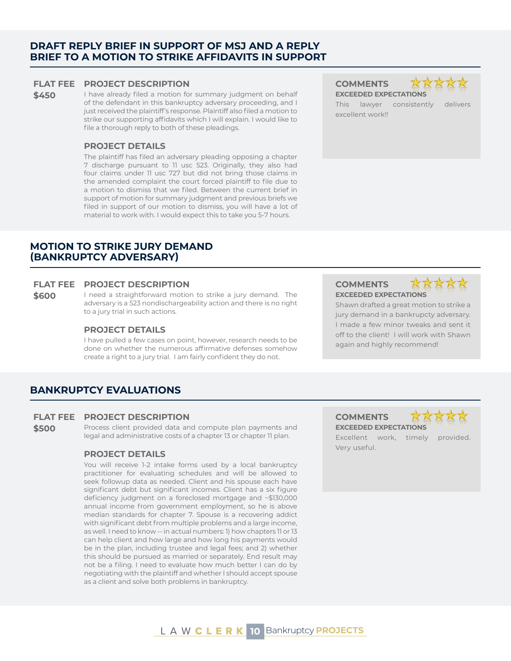#### **DRAFT REPLY BRIEF IN SUPPORT OF MSJ AND A REPLY BRIEF TO A MOTION TO STRIKE AFFIDAVITS IN SUPPORT**

#### **FLAT FEE PROJECT DESCRIPTION COMMENTS**

**\$450** I have already filed a motion for summary judgment on behalf of the defendant in this bankruptcy adversary proceeding, and I just received the plaintiff's response. Plaintiff also filed a motion to strike our supporting affidavits which I will explain. I would like to file a thorough reply to both of these pleadings.

#### **PROJECT DETAILS**

The plaintiff has filed an adversary pleading opposing a chapter 7 discharge pursuant to 11 usc 523. Originally, they also had four claims under 11 usc 727 but did not bring those claims in the amended complaint the court forced plaintiff to file due to a motion to dismiss that we filed. Between the current brief in support of motion for summary judgment and previous briefs we filed in support of our motion to dismiss, you will have a lot of material to work with. I would expect this to take you 5-7 hours.

#### **MOTION TO STRIKE JURY DEMAND (BANKRUPTCY ADVERSARY)**

#### **FLAT FEE PROJECT DESCRIPTION COMMENTS**

**\$600** I need a straightforward motion to strike a jury demand. The adversary is a 523 nondischargeability action and there is no right to a jury trial in such actions.

#### **PROJECT DETAILS**

I have pulled a few cases on point, however, research needs to be done on whether the numerous affirmative defenses somehow create a right to a jury trial. I am fairly confident they do not.

**EXCEEDED EXPECTATIONS** This lawyer consistently delivers excellent work!!

### **EXCEEDED EXPECTATIONS**

Shawn drafted a great motion to strike a jury demand in a bankrupcty adversary. I made a few minor tweaks and sent it off to the client! I will work with Shawn again and highly recommend!

### **BANKRUPTCY EVALUATIONS**

#### **FLAT FEE PROJECT DESCRIPTION COMMENTS**

**\$500** Process client provided data and compute plan payments and legal and administrative costs of a chapter 13 or chapter 11 plan.

#### **PROJECT DETAILS**

You will receive 1-2 intake forms used by a local bankruptcy practitioner for evaluating schedules and will be allowed to seek followup data as needed. Client and his spouse each have significant debt but significant incomes. Client has a six figure deficiency judgment on a foreclosed mortgage and ~\$130,000 annual income from government employment, so he is above median standards for chapter 7. Spouse is a recovering addict with significant debt from multiple problems and a large income, as well. I need to know -- in actual numbers: 1) how chapters 11 or 13 can help client and how large and how long his payments would be in the plan, including trustee and legal fees; and 2) whether this should be pursued as married or separately. End result may not be a filing. I need to evaluate how much better I can do by negotiating with the plaintiff and whether I should accept spouse as a client and solve both problems in bankruptcy.

**EXCEEDED EXPECTATIONS**

Excellent work, timely provided. Very useful.